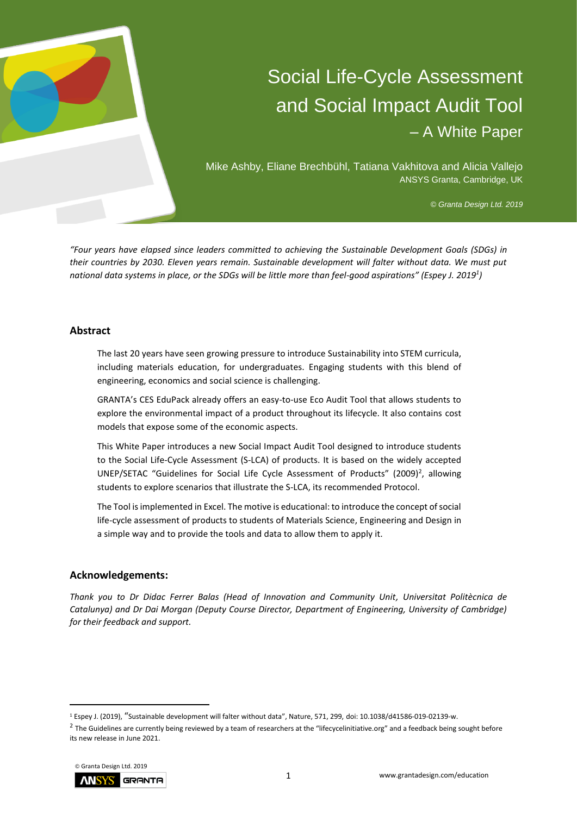

# Social Life-Cycle Assessment and Social Impact Audit Tool – A White Paper

Mike Ashby, Eliane Brechbühl, Tatiana Vakhitova and Alicia Vallejo ANSYS Granta, Cambridge, UK

*© Granta Design Ltd. 2019*

*"Four years have elapsed since leaders committed to achieving the Sustainable Development Goals (SDGs) in their countries by 2030. Eleven years remain. Sustainable development will falter without data. We must put national data systems in place, or the SDGs will be little more than feel-good aspirations" (Espey J. 2019<sup>1</sup> )*

## **Abstract**

The last 20 years have seen growing pressure to introduce Sustainability into STEM curricula, including materials education, for undergraduates. Engaging students with this blend of engineering, economics and social science is challenging.

GRANTA's CES EduPack already offers an easy-to-use Eco Audit Tool that allows students to explore the environmental impact of a product throughout its lifecycle. It also contains cost models that expose some of the economic aspects.

This White Paper introduces a new Social Impact Audit Tool designed to introduce students to the Social Life-Cycle Assessment (S-LCA) of products. It is based on the widely accepted UNEP/SETAC "Guidelines for Social Life Cycle Assessment of Products" (2009)<sup>2</sup>, allowing students to explore scenarios that illustrate the S-LCA, its recommended Protocol.

The Tool is implemented in Excel. The motive is educational: to introduce the concept of social life-cycle assessment of products to students of Materials Science, Engineering and Design in a simple way and to provide the tools and data to allow them to apply it.

## **Acknowledgements:**

*Thank you to Dr Didac Ferrer Balas (Head of Innovation and Community Unit, Universitat Politècnica de Catalunya) and Dr Dai Morgan (Deputy Course Director, Department of Engineering, University of Cambridge) for their feedback and support.* 

 $^2$  The Guidelines are currently being reviewed by a team of researchers at the "lifecycelinitiative.org" and a feedback being sought before its new release in June 2021.



<sup>1</sup> Espey J. (2019), "Sustainable development will falter without data", Nature, 571, 299, doi: 10.1038/d41586-019-02139-w.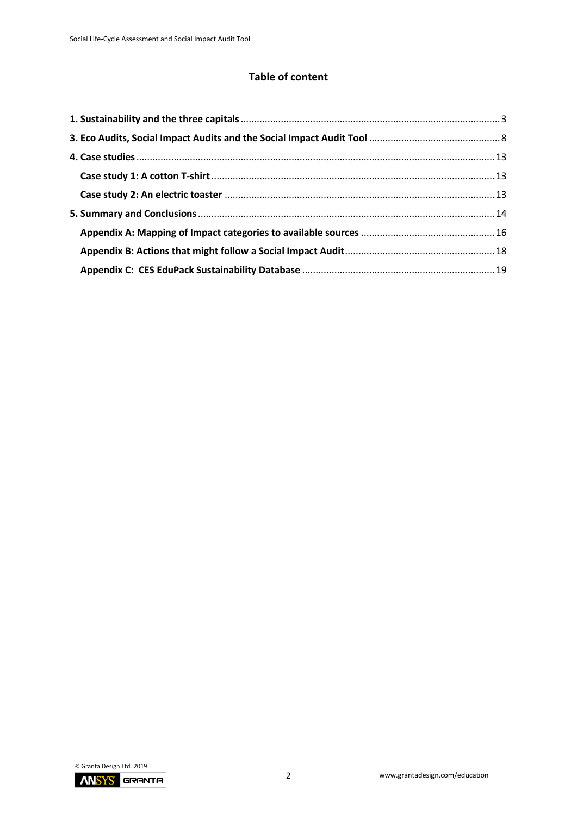# **Table of content**

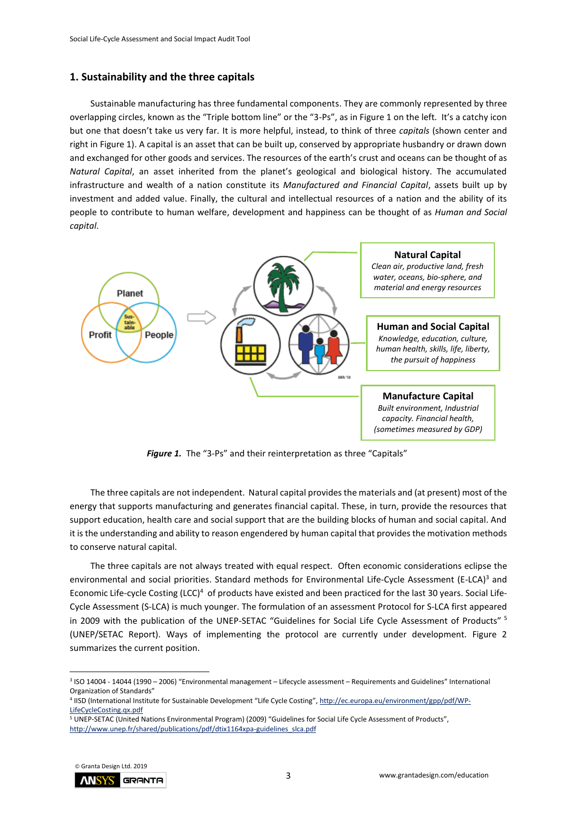#### <span id="page-2-0"></span>**1. Sustainability and the three capitals**

Sustainable manufacturing has three fundamental components. They are commonly represented by three overlapping circles, known as the "Triple bottom line" or the "3-Ps", as in Figure 1 on the left. It's a catchy icon but one that doesn't take us very far. It is more helpful, instead, to think of three *capitals* (shown center and right in Figure 1). A capital is an asset that can be built up, conserved by appropriate husbandry or drawn down and exchanged for other goods and services. The resources of the earth's crust and oceans can be thought of as *Natural Capital*, an asset inherited from the planet's geological and biological history. The accumulated infrastructure and wealth of a nation constitute its *Manufactured and Financial Capital*, assets built up by investment and added value. Finally, the cultural and intellectual resources of a nation and the ability of its people to contribute to human welfare, development and happiness can be thought of as *Human and Social capital*.



**Figure 1.** The "3-Ps" and their reinterpretation as three "Capitals"

The three capitals are not independent. Natural capital provides the materials and (at present) most of the energy that supports manufacturing and generates financial capital. These, in turn, provide the resources that support education, health care and social support that are the building blocks of human and social capital. And it is the understanding and ability to reason engendered by human capital that provides the motivation methods to conserve natural capital.

The three capitals are not always treated with equal respect. Often economic considerations eclipse the environmental and social priorities. Standard methods for Environmental Life-Cycle Assessment (E-LCA)<sup>3</sup> and Economic Life-cycle Costing (LCC)<sup>4</sup> of products have existed and been practiced for the last 30 years. Social Life-Cycle Assessment (S-LCA) is much younger. The formulation of an assessment Protocol for S-LCA first appeared in 2009 with the publication of the UNEP-SETAC "Guidelines for Social Life Cycle Assessment of Products" <sup>5</sup> (UNEP/SETAC Report). Ways of implementing the protocol are currently under development. Figure 2 summarizes the current position.

<sup>5</sup> UNEP-SETAC (United Nations Environmental Program) (2009) "Guidelines for Social Life Cycle Assessment of Products", [http://www.unep.fr/shared/publications/pdf/dtix1164xpa-guidelines\\_slca.pdf](http://www.unep.fr/shared/publications/pdf/dtix1164xpa-guidelines_slca.pdf)



<sup>3</sup> ISO 14004 - 14044 (1990 – 2006) "Environmental management – Lifecycle assessment – Requirements and Guidelines" International Organization of Standards"

<sup>4</sup> IISD (International Institute for Sustainable Development "Life Cycle Costing", [http://ec.europa.eu/environment/gpp/pdf/WP-](http://ec.europa.eu/environment/gpp/pdf/WP-LifeCycleCosting.qx.pdf)[LifeCycleCosting.qx.pdf](http://ec.europa.eu/environment/gpp/pdf/WP-LifeCycleCosting.qx.pdf)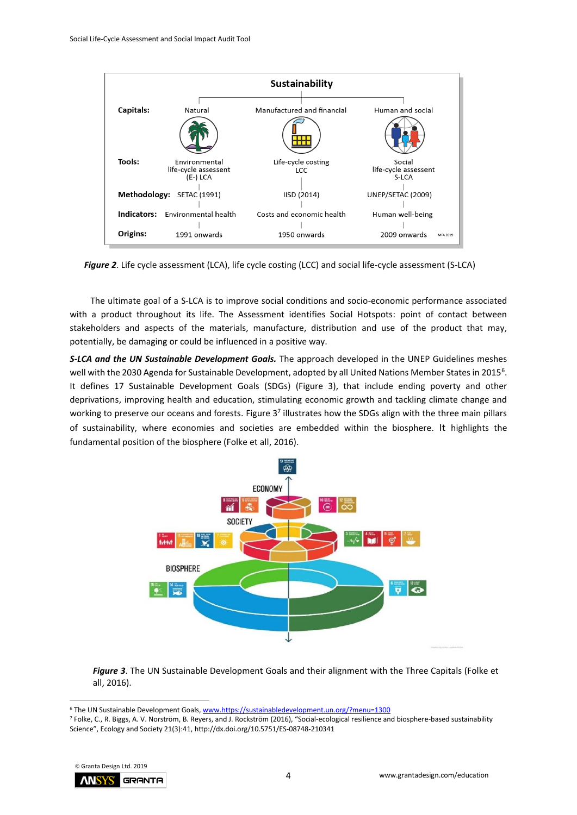

*Figure 2*. Life cycle assessment (LCA), life cycle costing (LCC) and social life-cycle assessment (S-LCA)

The ultimate goal of a S-LCA is to improve social conditions and socio-economic performance associated with a product throughout its life. The Assessment identifies Social Hotspots: point of contact between stakeholders and aspects of the materials, manufacture, distribution and use of the product that may, potentially, be damaging or could be influenced in a positive way.

*S-LCA and the UN Sustainable Development Goals.* The approach developed in the UNEP Guidelines meshes well with the 2030 Agenda for Sustainable Development, adopted by all United Nations Member States in 2015<sup>6</sup>. It defines 17 Sustainable Development Goals (SDGs) (Figure 3), that include ending poverty and other deprivations, improving health and education, stimulating economic growth and tackling climate change and working to preserve our oceans and forests. Figure 3<sup>7</sup> illustrates how the SDGs align with the three main pillars of sustainability, where economies and societies are embedded within the biosphere. It highlights the fundamental position of the biosphere (Folke et all, 2016).



*Figure 3*. The UN Sustainable Development Goals and their alignment with the Three Capitals (Folke et all, 2016).

<sup>7</sup> Folke, C., R. Biggs, A. V. Norström, B. Reyers, and J. Rockström (2016), "Social-ecological resilience and biosphere-based sustainability Science", Ecology and Society 21(3):41, http://dx.doi.org/10.5751/ES-08748-210341



<sup>6</sup> The UN Sustainable Development Goals, www.https://sustainabledevelopment.un.org/?menu=1300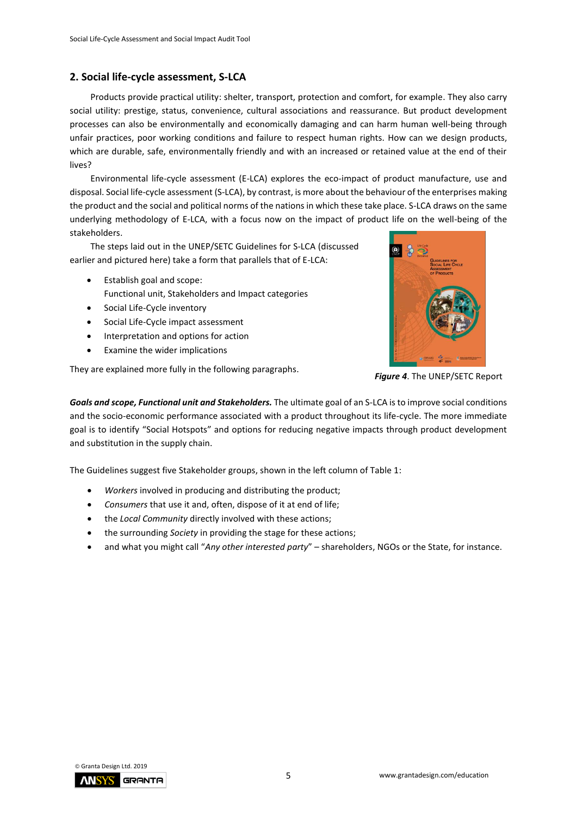## **2. Social life-cycle assessment, S-LCA**

Products provide practical utility: shelter, transport, protection and comfort, for example. They also carry social utility: prestige, status, convenience, cultural associations and reassurance. But product development processes can also be environmentally and economically damaging and can harm human well-being through unfair practices, poor working conditions and failure to respect human rights. How can we design products, which are durable, safe, environmentally friendly and with an increased or retained value at the end of their lives?

Environmental life-cycle assessment (E-LCA) explores the eco-impact of product manufacture, use and disposal. Social life-cycle assessment (S-LCA), by contrast, is more about the behaviour of the enterprises making the product and the social and political norms of the nations in which these take place. S-LCA draws on the same underlying methodology of E-LCA, with a focus now on the impact of product life on the well-being of the stakeholders.

The steps laid out in the UNEP/SETC Guidelines for S-LCA (discussed earlier and pictured here) take a form that parallels that of E-LCA:

- Establish goal and scope: Functional unit, Stakeholders and Impact categories
- Social Life-Cycle inventory
- Social Life-Cycle impact assessment
- Interpretation and options for action
- Examine the wider implications

They are explained more fully in the following paragraphs.



*Figure 4*. The UNEP/SETC Report

*Goals and scope, Functional unit and Stakeholders.* The ultimate goal of an S-LCA is to improve social conditions and the socio-economic performance associated with a product throughout its life-cycle. The more immediate goal is to identify "Social Hotspots" and options for reducing negative impacts through product development and substitution in the supply chain.

The Guidelines suggest five Stakeholder groups, shown in the left column of Table 1:

- *Workers* involved in producing and distributing the product;
- *Consumers* that use it and, often, dispose of it at end of life;
- the *Local Community* directly involved with these actions;
- the surrounding *Society* in providing the stage for these actions;
- and what you might call "*Any other interested party*" shareholders, NGOs or the State, for instance.

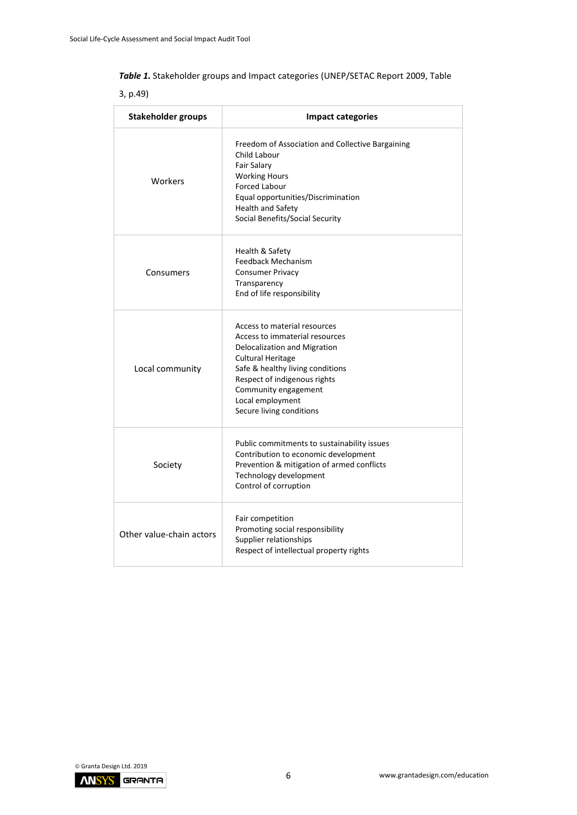| Table 1. Stakeholder groups and Impact categories (UNEP/SETAC Report 2009, Table |  |
|----------------------------------------------------------------------------------|--|
|----------------------------------------------------------------------------------|--|

3, p.49)

| <b>Stakeholder groups</b> | <b>Impact categories</b>                                                                                                                                                                                                                                        |
|---------------------------|-----------------------------------------------------------------------------------------------------------------------------------------------------------------------------------------------------------------------------------------------------------------|
| Workers                   | Freedom of Association and Collective Bargaining<br>Child Labour<br>Fair Salary<br><b>Working Hours</b><br><b>Forced Labour</b><br>Equal opportunities/Discrimination<br>Health and Safety<br>Social Benefits/Social Security                                   |
| Consumers                 | Health & Safety<br><b>Feedback Mechanism</b><br><b>Consumer Privacy</b><br>Transparency<br>End of life responsibility                                                                                                                                           |
| Local community           | Access to material resources<br>Access to immaterial resources<br>Delocalization and Migration<br>Cultural Heritage<br>Safe & healthy living conditions<br>Respect of indigenous rights<br>Community engagement<br>Local employment<br>Secure living conditions |
| Society                   | Public commitments to sustainability issues<br>Contribution to economic development<br>Prevention & mitigation of armed conflicts<br>Technology development<br>Control of corruption                                                                            |
| Other value-chain actors  | Fair competition<br>Promoting social responsibility<br>Supplier relationships<br>Respect of intellectual property rights                                                                                                                                        |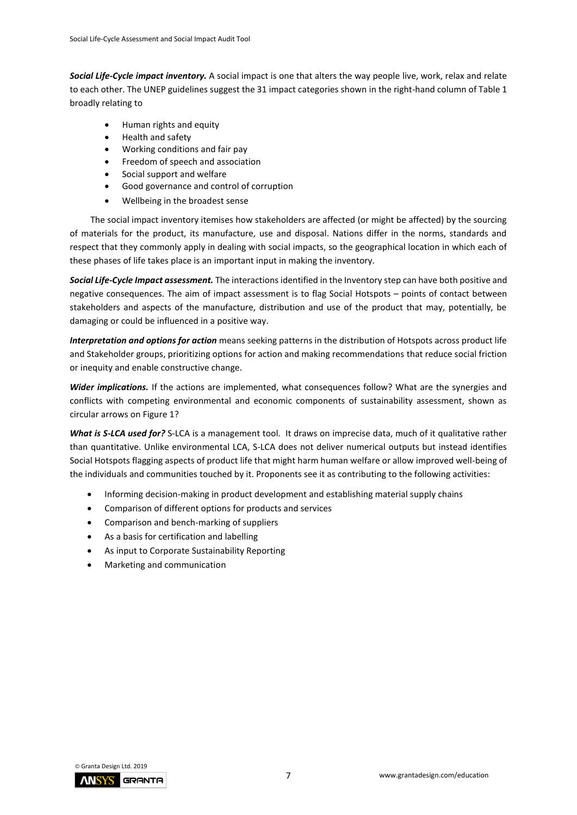*Social Life-Cycle impact inventory.* A social impact is one that alters the way people live, work, relax and relate to each other. The UNEP guidelines suggest the 31 impact categories shown in the right-hand column of Table 1 broadly relating to

- Human rights and equity
- Health and safety
- Working conditions and fair pay
- Freedom of speech and association
- Social support and welfare
- Good governance and control of corruption
- Wellbeing in the broadest sense

The social impact inventory itemises how stakeholders are affected (or might be affected) by the sourcing of materials for the product, its manufacture, use and disposal. Nations differ in the norms, standards and respect that they commonly apply in dealing with social impacts, so the geographical location in which each of these phases of life takes place is an important input in making the inventory.

*Social Life-Cycle Impact assessment.* The interactions identified in the Inventory step can have both positive and negative consequences. The aim of impact assessment is to flag Social Hotspots – points of contact between stakeholders and aspects of the manufacture, distribution and use of the product that may, potentially, be damaging or could be influenced in a positive way.

*Interpretation and options for action* means seeking patterns in the distribution of Hotspots across product life and Stakeholder groups, prioritizing options for action and making recommendations that reduce social friction or inequity and enable constructive change.

*Wider implications.* If the actions are implemented, what consequences follow? What are the synergies and conflicts with competing environmental and economic components of sustainability assessment, shown as circular arrows on Figure 1?

*What is S-LCA used for?* S-LCA is a management tool. It draws on imprecise data, much of it qualitative rather than quantitative. Unlike environmental LCA, S-LCA does not deliver numerical outputs but instead identifies Social Hotspots flagging aspects of product life that might harm human welfare or allow improved well-being of the individuals and communities touched by it. Proponents see it as contributing to the following activities:

- Informing decision-making in product development and establishing material supply chains
- Comparison of different options for products and services
- Comparison and bench-marking of suppliers
- As a basis for certification and labelling
- As input to Corporate Sustainability Reporting
- Marketing and communication

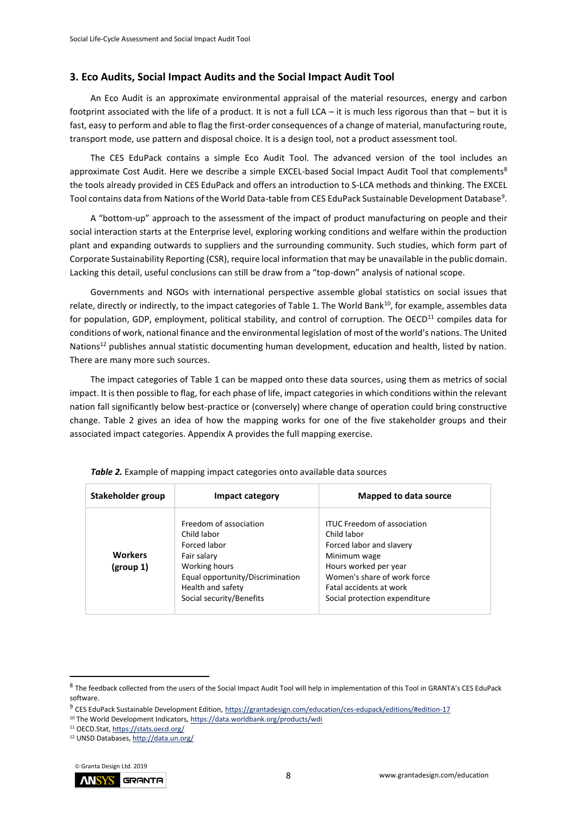#### <span id="page-7-0"></span>**3. Eco Audits, Social Impact Audits and the Social Impact Audit Tool**

An Eco Audit is an approximate environmental appraisal of the material resources, energy and carbon footprint associated with the life of a product. It is not a full LCA – it is much less rigorous than that – but it is fast, easy to perform and able to flag the first-order consequences of a change of material, manufacturing route, transport mode, use pattern and disposal choice. It is a design tool, not a product assessment tool.

The CES EduPack contains a simple Eco Audit Tool. The advanced version of the tool includes an approximate Cost Audit. Here we describe a simple EXCEL-based Social Impact Audit Tool that complements<sup>8</sup> the tools already provided in CES EduPack and offers an introduction to S-LCA methods and thinking. The EXCEL Tool contains data from Nations of the World Data-table from CES EduPack Sustainable Development Database<sup>9</sup>.

A "bottom-up" approach to the assessment of the impact of product manufacturing on people and their social interaction starts at the Enterprise level, exploring working conditions and welfare within the production plant and expanding outwards to suppliers and the surrounding community. Such studies, which form part of Corporate Sustainability Reporting (CSR), require local information that may be unavailable in the public domain. Lacking this detail, useful conclusions can still be draw from a "top-down" analysis of national scope.

Governments and NGOs with international perspective assemble global statistics on social issues that relate, directly or indirectly, to the impact categories of Table 1. The World Bank<sup>10</sup>, for example, assembles data for population, GDP, employment, political stability, and control of corruption. The OECD<sup>11</sup> compiles data for conditions of work, national finance and the environmental legislation of most of the world's nations. The United Nations<sup>12</sup> publishes annual statistic documenting human development, education and health, listed by nation. There are many more such sources.

The impact categories of Table 1 can be mapped onto these data sources, using them as metrics of social impact. It is then possible to flag, for each phase of life, impact categories in which conditions within the relevant nation fall significantly below best-practice or (conversely) where change of operation could bring constructive change. Table 2 gives an idea of how the mapping works for one of the five stakeholder groups and their associated impact categories. Appendix A provides the full mapping exercise.

| Stakeholder group           | Impact category                                                                                                                                                            | Mapped to data source                                                                                                                                                                                             |
|-----------------------------|----------------------------------------------------------------------------------------------------------------------------------------------------------------------------|-------------------------------------------------------------------------------------------------------------------------------------------------------------------------------------------------------------------|
| <b>Workers</b><br>(group 1) | Freedom of association<br>Child labor<br>Forced labor<br>Fair salary<br>Working hours<br>Equal opportunity/Discrimination<br>Health and safety<br>Social security/Benefits | <b>ITUC Freedom of association</b><br>Child labor<br>Forced labor and slavery<br>Minimum wage<br>Hours worked per year<br>Women's share of work force<br>Fatal accidents at work<br>Social protection expenditure |

*Table 2.* Example of mapping impact categories onto available data sources

<sup>©</sup> Granta Design Ltd. 2019



<sup>&</sup>lt;sup>8</sup> The feedback collected from the users of the Social Impact Audit Tool will help in implementation of this Tool in GRANTA's CES EduPack software.

<sup>&</sup>lt;sup>9</sup> CES EduPack Sustainable Development Edition, <https://grantadesign.com/education/ces-edupack/editions/#edition-17>

<sup>&</sup>lt;sup>10</sup> The World Development Indicators, <https://data.worldbank.org/products/wdi>

<sup>11</sup> OECD.Stat[, https://stats.oecd.org/](https://stats.oecd.org/)

<sup>12</sup> UNSD Databases[, http://data.un.org/](http://data.un.org/)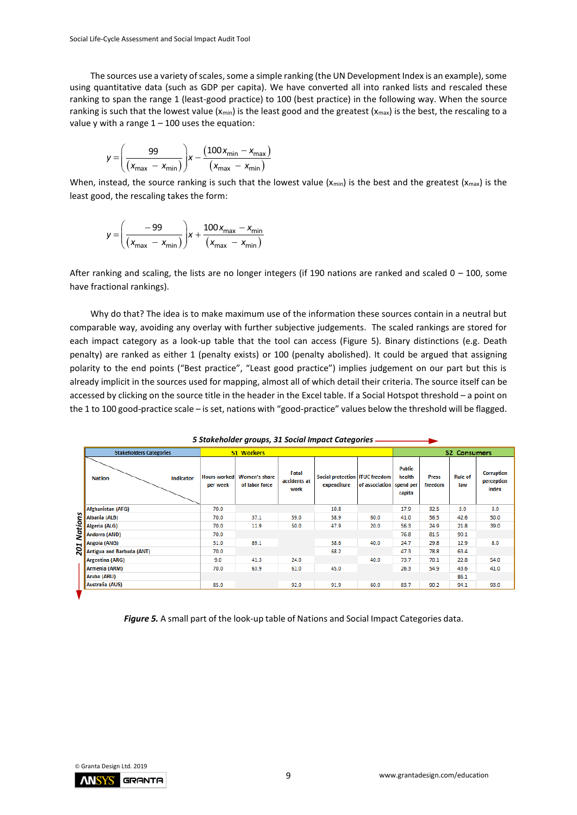The sources use a variety of scales, some a simple ranking (the UN Development Index is an example), some using quantitative data (such as GDP per capita). We have converted all into ranked lists and rescaled these ranking to span the range 1 (least-good practice) to 100 (best practice) in the following way. When the source ranking is such that the lowest value ( $x_{min}$ ) is the least good and the greatest ( $x_{max}$ ) is the best, the rescaling to a value y with a range  $1 - 100$  uses the equation:

$$
y = \left(\frac{99}{\left(x_{max} - x_{min}\right)}\right) x - \frac{\left(100 x_{min} - x_{max}\right)}{\left(x_{max} - x_{min}\right)}
$$

When, instead, the source ranking is such that the lowest value ( $x_{min}$ ) is the best and the greatest ( $x_{max}$ ) is the least good, the rescaling takes the form:

$$
y = \left(\frac{-99}{\left(x_{\text{max}} - x_{\text{min}}\right)}\right) x + \frac{100 x_{\text{max}} - x_{\text{min}}}{\left(x_{\text{max}} - x_{\text{min}}\right)}
$$

After ranking and scaling, the lists are no longer integers (if 190 nations are ranked and scaled  $0 - 100$ , some have fractional rankings).

Why do that? The idea is to make maximum use of the information these sources contain in a neutral but comparable way, avoiding any overlay with further subjective judgements. The scaled rankings are stored for each impact category as a look-up table that the tool can access (Figure 5). Binary distinctions (e.g. Death penalty) are ranked as either 1 (penalty exists) or 100 (penalty abolished). It could be argued that assigning polarity to the end points ("Best practice", "Least good practice") implies judgement on our part but this is already implicit in the sources used for mapping, almost all of which detail their criteria. The source itself can be accessed by clicking on the source title in the header in the Excel table. If a Social Hotspot threshold – a point on the 1 to 100 good-practice scale – is set, nations with "good-practice" values below the threshold will be flagged.

| <b>Stakeholders Categories</b>    |                                 | <b>S1 Workers</b>                      |                               |                                                 |                |                                                |                         | <b>S2 Consumers</b>   |                                          |
|-----------------------------------|---------------------------------|----------------------------------------|-------------------------------|-------------------------------------------------|----------------|------------------------------------------------|-------------------------|-----------------------|------------------------------------------|
| <b>Nation</b><br><b>Indicator</b> | <b>Hours worked</b><br>per week | <b>Women's share</b><br>of labor force | Fatal<br>accidents at<br>work | Social protection   ITUC freedom<br>expenditure | of association | <b>Public</b><br>health<br>spend per<br>capita | <b>Press</b><br>freedom | <b>Rule of</b><br>law | <b>Corruption</b><br>perception<br>index |
| Afghanistan (AFG)                 | 70.0                            |                                        |                               | 10.8                                            |                | 17.9                                           | 32.5                    | 3.0                   | 3.0                                      |
| <b>Nations</b><br>Albania (ALB)   | 70.0                            | 37.1                                   | 59.0                          | 58.9                                            | 60.0           | 41.0                                           | 56.5                    | 42.6                  | 50.0                                     |
| Algeria (ALG)                     | 70.0                            | 11.9                                   | 50.0                          | 47.9                                            | 20.0           | 56.3                                           | 24.9                    | 21.8                  | 39.0                                     |
| Andorra (AND)                     | 70.0                            |                                        |                               |                                                 |                | 76.8                                           | 81.5                    | 90.1                  |                                          |
| Angola (ANG)                      | 31.0                            | 89.1                                   |                               | 38.6                                            | 40.0           | 24.7                                           | 29.8                    | 12.9                  | 8.0                                      |
| 201<br>Antigua and Barbuda (ANT)  | 70.0                            |                                        |                               | 68.2                                            |                | 47.3                                           | 78.8                    | 63.4                  |                                          |
| Argentina (ARG)                   | 9.0                             | 41.3                                   | 24.0                          |                                                 | 40.0           | 73.7                                           | 70.1                    | 22.8                  | 54.0                                     |
| Armenia (ARM)                     | 70.0                            | 63.9                                   | 61.0                          | 45.0                                            |                | 26.3                                           | 54.9                    | 43.6                  | 41.0                                     |
| Aruba (ARU)                       |                                 |                                        |                               |                                                 |                |                                                |                         | 86.1                  |                                          |
| Australia (AUS)                   | 85.0                            |                                        | 92.0                          | 91.9                                            | 60.0           | 83.7                                           | 90.2                    | 94.1                  | 93.0                                     |

*5 Stakeholder groups, 31 Social Impact Categories* 

*Figure 5.* A small part of the look-up table of Nations and Social Impact Categories data.

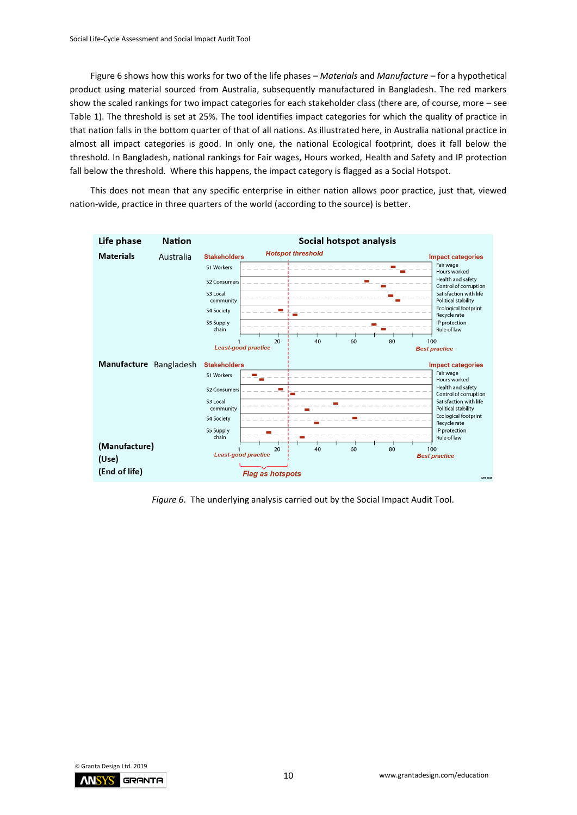Figure 6 shows how this works for two of the life phases – *Materials* and *Manufacture* – for a hypothetical product using material sourced from Australia, subsequently manufactured in Bangladesh. The red markers show the scaled rankings for two impact categories for each stakeholder class (there are, of course, more – see Table 1). The threshold is set at 25%. The tool identifies impact categories for which the quality of practice in that nation falls in the bottom quarter of that of all nations. As illustrated here, in Australia national practice in almost all impact categories is good. In only one, the national Ecological footprint, does it fall below the threshold. In Bangladesh, national rankings for Fair wages, Hours worked, Health and Safety and IP protection fall below the threshold. Where this happens, the impact category is flagged as a Social Hotspot.

This does not mean that any specific enterprise in either nation allows poor practice, just that, viewed nation-wide, practice in three quarters of the world (according to the source) is better.



*Figure 6*. The underlying analysis carried out by the Social Impact Audit Tool.

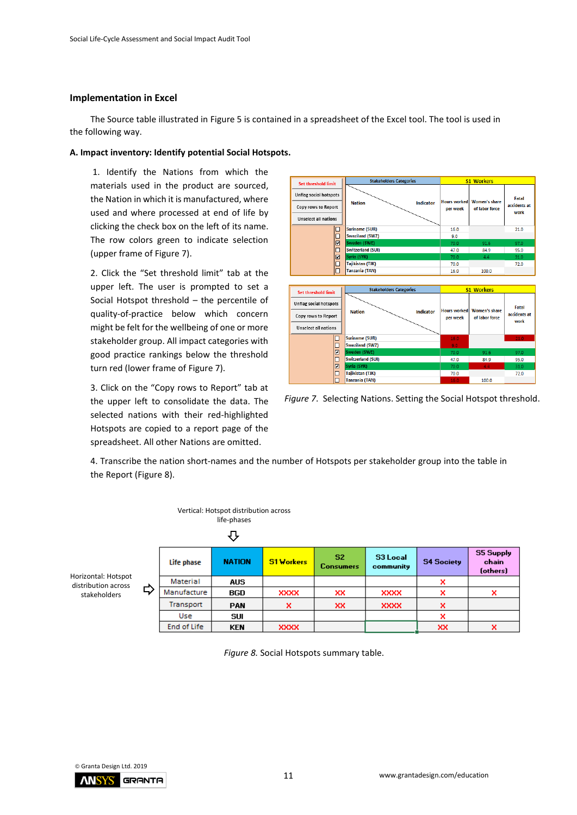### **Implementation in Excel**

The Source table illustrated in Figure 5 is contained in a spreadsheet of the Excel tool. The tool is used in the following way.

#### **A. Impact inventory: Identify potential Social Hotspots.**

1. Identify the Nations from which the materials used in the product are sourced, the Nation in which it is manufactured, where used and where processed at end of life by clicking the check box on the left of its name. The row colors green to indicate selection (upper frame of Figure 7).

2. Click the "Set threshold limit" tab at the upper left. The user is prompted to set a Social Hotspot threshold – the percentile of quality-of-practice below which concern might be felt for the wellbeing of one or more stakeholder group. All impact categories with good practice rankings below the threshold turn red (lower frame of Figure 7).

3. Click on the "Copy rows to Report" tab at the upper left to consolidate the data. The selected nations with their red-highlighted Hotspots are copied to a report page of the spreadsheet. All other Nations are omitted.



*Figure 7*. Selecting Nations. Setting the Social Hotspot threshold.

4. Transcribe the nation short-names and the number of Hotspots per stakeholder group into the table in the Report (Figure 8).



*Figure 8.* Social Hotspots summary table.



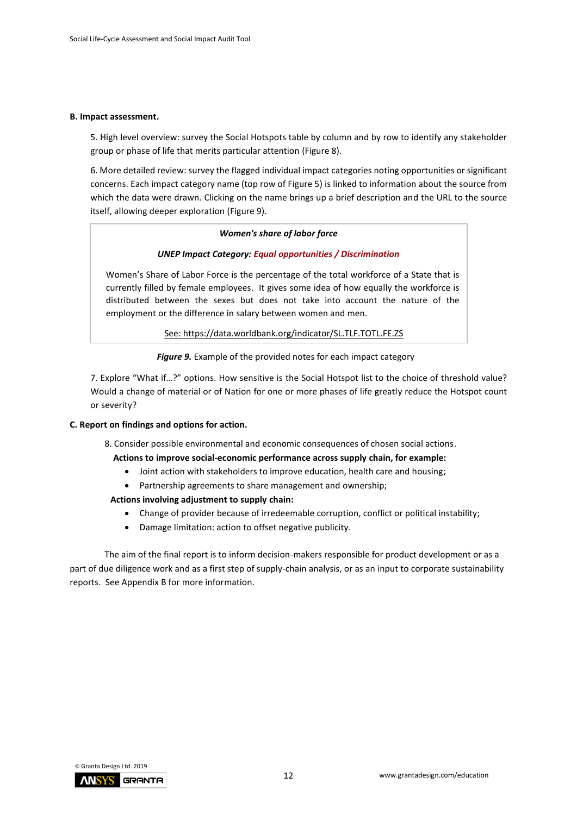#### **B. Impact assessment.**

5. High level overview: survey the Social Hotspots table by column and by row to identify any stakeholder group or phase of life that merits particular attention (Figure 8).

6. More detailed review: survey the flagged individual impact categories noting opportunities or significant concerns. Each impact category name (top row of Figure 5) is linked to information about the source from which the data were drawn. Clicking on the name brings up a brief description and the URL to the source itself, allowing deeper exploration (Figure 9).

#### *Women's share of labor force*

#### *UNEP Impact Category: Equal opportunities / Discrimination*

Women's Share of Labor Force is the percentage of the total workforce of a State that is currently filled by female employees. It gives some idea of how equally the workforce is distributed between the sexes but does not take into account the nature of the employment or the difference in salary between women and men.

See: https://data.worldbank.org/indicator/SL.TLF.TOTL.FE.ZS

*Figure 9.* Example of the provided notes for each impact category

7. Explore "What if…?" options. How sensitive is the Social Hotspot list to the choice of threshold value? Would a change of material or of Nation for one or more phases of life greatly reduce the Hotspot count or severity?

#### **C. Report on findings and options for action.**

8. Consider possible environmental and economic consequences of chosen social actions.

#### **Actions to improve social-economic performance across supply chain, for example:**

- Joint action with stakeholders to improve education, health care and housing;
- Partnership agreements to share management and ownership;

#### **Actions involving adjustment to supply chain:**

- Change of provider because of irredeemable corruption, conflict or political instability;
- Damage limitation: action to offset negative publicity.

The aim of the final report is to inform decision-makers responsible for product development or as a part of due diligence work and as a first step of supply-chain analysis, or as an input to corporate sustainability reports. See Appendix B for more information.

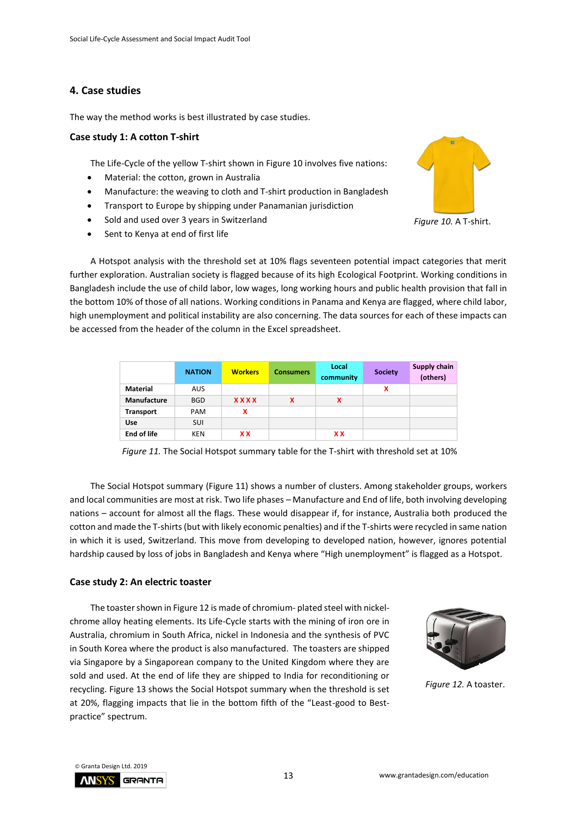## <span id="page-12-0"></span>**4. Case studies**

The way the method works is best illustrated by case studies.

### <span id="page-12-1"></span>**Case study 1: A cotton T-shirt**

The Life-Cycle of the yellow T-shirt shown in Figure 10 involves five nations:

- Material: the cotton, grown in Australia
- Manufacture: the weaving to cloth and T-shirt production in Bangladesh
- Transport to Europe by shipping under Panamanian jurisdiction
- Sold and used over 3 years in Switzerland
- Sent to Kenya at end of first life



*Figure 10.* A T-shirt.

A Hotspot analysis with the threshold set at 10% flags seventeen potential impact categories that merit further exploration. Australian society is flagged because of its high Ecological Footprint. Working conditions in Bangladesh include the use of child labor, low wages, long working hours and public health provision that fall in the bottom 10% of those of all nations. Working conditions in Panama and Kenya are flagged, where child labor, high unemployment and political instability are also concerning. The data sources for each of these impacts can be accessed from the header of the column in the Excel spreadsheet.

|                    | <b>NATION</b> | <b>Workers</b> | <b>Consumers</b> | Local<br>community | <b>Society</b> | <b>Supply chain</b><br>(others) |
|--------------------|---------------|----------------|------------------|--------------------|----------------|---------------------------------|
| <b>Material</b>    | <b>AUS</b>    |                |                  |                    | x              |                                 |
| Manufacture        | <b>BGD</b>    | <b>XXXX</b>    | x                | x                  |                |                                 |
| <b>Transport</b>   | <b>PAM</b>    | x              |                  |                    |                |                                 |
| Use                | <b>SUI</b>    |                |                  |                    |                |                                 |
| <b>End of life</b> | <b>KEN</b>    | <b>XX</b>      |                  | <b>XX</b>          |                |                                 |



The Social Hotspot summary (Figure 11) shows a number of clusters. Among stakeholder groups, workers and local communities are most at risk. Two life phases – Manufacture and End of life, both involving developing nations – account for almost all the flags. These would disappear if, for instance, Australia both produced the cotton and made the T-shirts (but with likely economic penalties) and if the T-shirts were recycled in same nation in which it is used, Switzerland. This move from developing to developed nation, however, ignores potential hardship caused by loss of jobs in Bangladesh and Kenya where "High unemployment" is flagged as a Hotspot.

#### <span id="page-12-2"></span>**Case study 2: An electric toaster**

The toaster shown in Figure 12 is made of chromium- plated steel with nickelchrome alloy heating elements. Its Life-Cycle starts with the mining of iron ore in Australia, chromium in South Africa, nickel in Indonesia and the synthesis of PVC in South Korea where the product is also manufactured. The toasters are shipped via Singapore by a Singaporean company to the United Kingdom where they are sold and used. At the end of life they are shipped to India for reconditioning or recycling. Figure 13 shows the Social Hotspot summary when the threshold is set at 20%, flagging impacts that lie in the bottom fifth of the "Least-good to Bestpractice" spectrum.



 *Figure 12.* A toaster.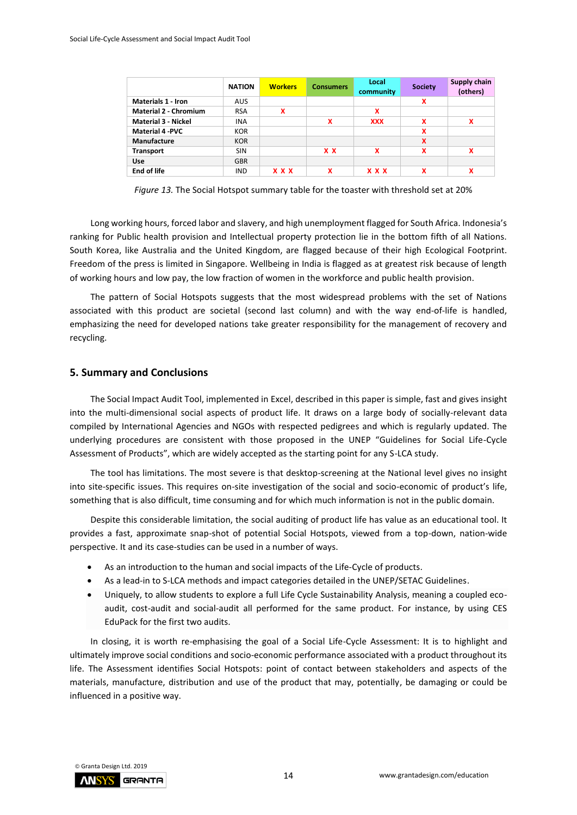|                              | <b>NATION</b> | <b>Workers</b> | <b>Consumers</b> | Local<br>community        | <b>Society</b> | Supply chain<br>(others) |
|------------------------------|---------------|----------------|------------------|---------------------------|----------------|--------------------------|
| <b>Materials 1 - Iron</b>    | <b>AUS</b>    |                |                  |                           | x              |                          |
| <b>Material 2 - Chromium</b> | <b>RSA</b>    | x              |                  | x                         |                |                          |
| <b>Material 3 - Nickel</b>   | <b>INA</b>    |                | x                | <b>XXX</b>                | X              | x                        |
| <b>Material 4 -PVC</b>       | <b>KOR</b>    |                |                  |                           | X              |                          |
| Manufacture                  | <b>KOR</b>    |                |                  |                           | X              |                          |
| <b>Transport</b>             | <b>SIN</b>    |                | x x              | $\boldsymbol{\mathsf{x}}$ | X              | x                        |
| <b>Use</b>                   | <b>GBR</b>    |                |                  |                           |                |                          |
| <b>End of life</b>           | <b>IND</b>    | <b>x x x</b>   | x                | <b>x x x</b>              | x              | x                        |

*Figure 13.* The Social Hotspot summary table for the toaster with threshold set at 20%

Long working hours, forced labor and slavery, and high unemployment flagged for South Africa. Indonesia's ranking for Public health provision and Intellectual property protection lie in the bottom fifth of all Nations. South Korea, like Australia and the United Kingdom, are flagged because of their high Ecological Footprint. Freedom of the press is limited in Singapore. Wellbeing in India is flagged as at greatest risk because of length of working hours and low pay, the low fraction of women in the workforce and public health provision.

The pattern of Social Hotspots suggests that the most widespread problems with the set of Nations associated with this product are societal (second last column) and with the way end-of-life is handled, emphasizing the need for developed nations take greater responsibility for the management of recovery and recycling.

#### <span id="page-13-0"></span>**5. Summary and Conclusions**

The Social Impact Audit Tool, implemented in Excel, described in this paper is simple, fast and gives insight into the multi-dimensional social aspects of product life. It draws on a large body of socially-relevant data compiled by International Agencies and NGOs with respected pedigrees and which is regularly updated. The underlying procedures are consistent with those proposed in the UNEP "Guidelines for Social Life-Cycle Assessment of Products", which are widely accepted as the starting point for any S-LCA study.

The tool has limitations. The most severe is that desktop-screening at the National level gives no insight into site-specific issues. This requires on-site investigation of the social and socio-economic of product's life, something that is also difficult, time consuming and for which much information is not in the public domain.

Despite this considerable limitation, the social auditing of product life has value as an educational tool. It provides a fast, approximate snap-shot of potential Social Hotspots, viewed from a top-down, nation-wide perspective. It and its case-studies can be used in a number of ways.

- As an introduction to the human and social impacts of the Life-Cycle of products.
- As a lead-in to S-LCA methods and impact categories detailed in the UNEP/SETAC Guidelines.
- Uniquely, to allow students to explore a full Life Cycle Sustainability Analysis, meaning a coupled ecoaudit, cost-audit and social-audit all performed for the same product. For instance, by using CES EduPack for the first two audits.

In closing, it is worth re-emphasising the goal of a Social Life-Cycle Assessment: It is to highlight and ultimately improve social conditions and socio-economic performance associated with a product throughout its life. The Assessment identifies Social Hotspots: point of contact between stakeholders and aspects of the materials, manufacture, distribution and use of the product that may, potentially, be damaging or could be influenced in a positive way.

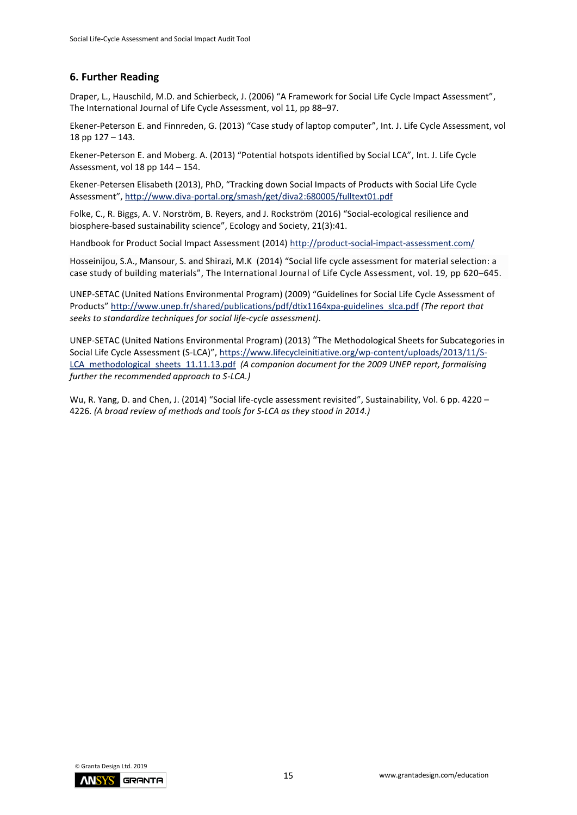## **6. Further Reading**

Draper, L., Hauschild, M.D. and Schierbeck, J. (2006) "A Framework for Social Life Cycle Impact Assessment", [The International Journal of Life Cycle Assessment,](https://link.springer.com/journal/11367) vol 11, pp 88–97.

Ekener-Peterson E. and Finnreden, G. (2013) "Case study of laptop computer", Int. J. Life Cycle Assessment, vol 18 pp 127 – 143.

Ekener-Peterson E. and Moberg. A. (2013) "Potential hotspots identified by Social LCA", Int. J. Life Cycle Assessment, vol 18 pp 144 – 154.

Ekener-Petersen Elisabeth (2013), PhD, "Tracking down Social Impacts of Products with Social Life Cycle Assessment", <http://www.diva-portal.org/smash/get/diva2:680005/fulltext01.pdf>

Folke, C., R. Biggs, A. V. Norström, B. Reyers, and J. Rockström (2016) "Social-ecological resilience and biosphere-based sustainability science", Ecology and Society, 21(3):41.

Handbook for Product Social Impact Assessment (2014)<http://product-social-impact-assessment.com/>

Hosseinijou, S.A., Mansour, S. and Shirazi, M.K (2014) "Social life cycle assessment for material selection: a case study of building materials", [The International Journal of Life Cycle Assessment,](https://link.springer.com/journal/11367) vol. 19, pp 620–645.

UNEP-SETAC (United Nations Environmental Program) (2009) "Guidelines for Social Life Cycle Assessment of Products" [http://www.unep.fr/shared/publications/pdf/dtix1164xpa-guidelines\\_slca.pdf](http://www.unep.fr/shared/publications/pdf/dtix1164xpa-guidelines_slca.pdf) *(The report that seeks to standardize techniques for social life-cycle assessment).*

UNEP-SETAC (United Nations Environmental Program) (2013) "The Methodological Sheets for Subcategories in Social Life Cycle Assessment (S-LCA)", [https://www.lifecycleinitiative.org/wp-content/uploads/2013/11/S-](https://www.lifecycleinitiative.org/wp-content/uploads/2013/11/S-LCA_methodological_sheets_11.11.13.pdf)[LCA\\_methodological\\_sheets\\_11.11.13.pdf](https://www.lifecycleinitiative.org/wp-content/uploads/2013/11/S-LCA_methodological_sheets_11.11.13.pdf) *(A companion document for the 2009 UNEP report, formalising further the recommended approach to S-LCA.)*

Wu, R. Yang, D. and Chen, J. (2014) "Social life-cycle assessment revisited", Sustainability, Vol. 6 pp. 4220 – 4226. *(A broad review of methods and tools for S-LCA as they stood in 2014.)*

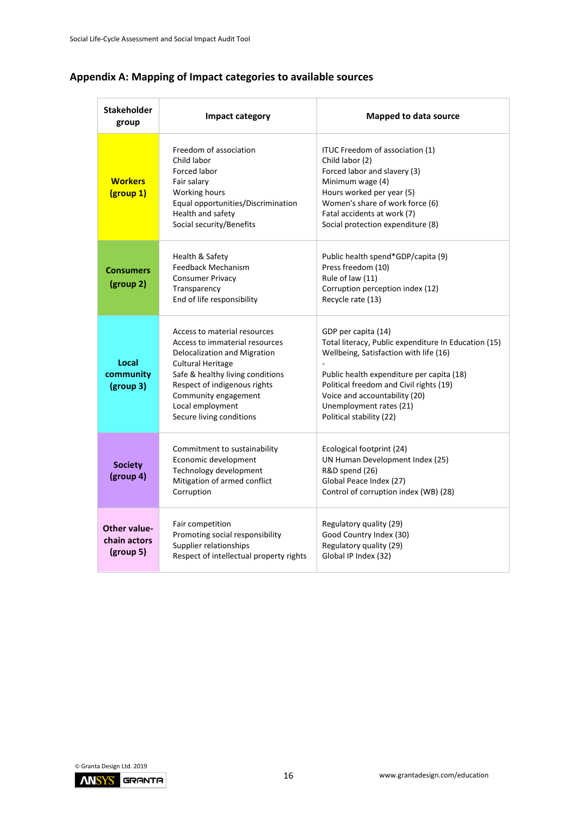| Stakeholder<br>group                             | Impact category                                                                                                                                                                                                                                                        | <b>Mapped to data source</b>                                                                                                                                                                                                                                                                          |
|--------------------------------------------------|------------------------------------------------------------------------------------------------------------------------------------------------------------------------------------------------------------------------------------------------------------------------|-------------------------------------------------------------------------------------------------------------------------------------------------------------------------------------------------------------------------------------------------------------------------------------------------------|
| <b>Workers</b><br>(group 1)                      | Freedom of association<br>Child labor<br>Forced labor<br>Fair salary<br>Working hours<br>Equal opportunities/Discrimination<br>Health and safety<br>Social security/Benefits                                                                                           | ITUC Freedom of association (1)<br>Child labor (2)<br>Forced labor and slavery (3)<br>Minimum wage (4)<br>Hours worked per year (5)<br>Women's share of work force (6)<br>Fatal accidents at work (7)<br>Social protection expenditure (8)                                                            |
| <b>Consumers</b><br>(group 2)                    | Health & Safety<br>Feedback Mechanism<br><b>Consumer Privacy</b><br>Transparency<br>End of life responsibility                                                                                                                                                         | Public health spend*GDP/capita (9)<br>Press freedom (10)<br>Rule of law (11)<br>Corruption perception index (12)<br>Recycle rate (13)                                                                                                                                                                 |
| Local<br>community<br>(group 3)                  | Access to material resources<br>Access to immaterial resources<br>Delocalization and Migration<br><b>Cultural Heritage</b><br>Safe & healthy living conditions<br>Respect of indigenous rights<br>Community engagement<br>Local employment<br>Secure living conditions | GDP per capita (14)<br>Total literacy, Public expenditure In Education (15)<br>Wellbeing, Satisfaction with life (16)<br>Public health expenditure per capita (18)<br>Political freedom and Civil rights (19)<br>Voice and accountability (20)<br>Unemployment rates (21)<br>Political stability (22) |
| <b>Society</b><br>(group 4)                      | Commitment to sustainability<br>Economic development<br>Technology development<br>Mitigation of armed conflict<br>Corruption                                                                                                                                           | Ecological footprint (24)<br>UN Human Development Index (25)<br>R&D spend (26)<br>Global Peace Index (27)<br>Control of corruption index (WB) (28)                                                                                                                                                    |
| <b>Other value-</b><br>chain actors<br>(group 5) | Fair competition<br>Promoting social responsibility<br>Supplier relationships<br>Respect of intellectual property rights                                                                                                                                               | Regulatory quality (29)<br>Good Country Index (30)<br>Regulatory quality (29)<br>Global IP Index (32)                                                                                                                                                                                                 |

# <span id="page-15-0"></span>**Appendix A: Mapping of Impact categories to available sources**

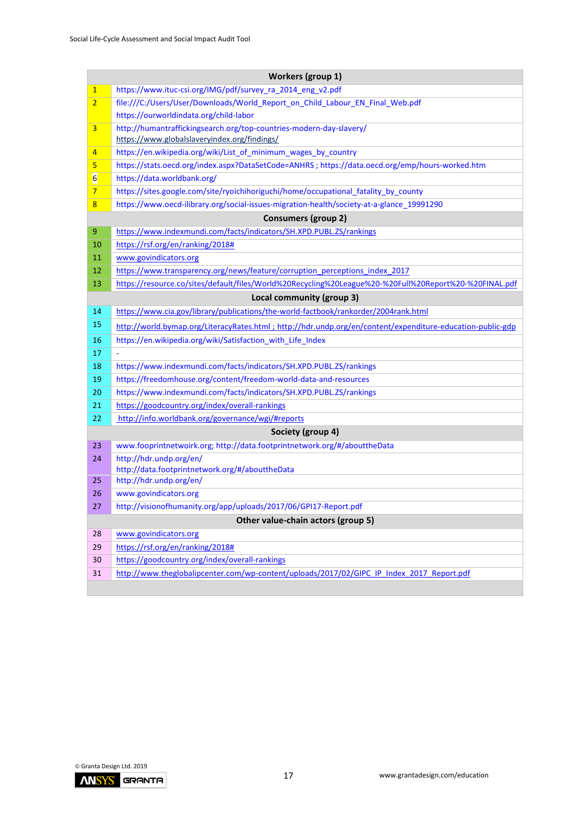|                | Workers (group 1)                                                                                           |
|----------------|-------------------------------------------------------------------------------------------------------------|
| $\mathbf{1}$   | https://www.ituc-csi.org/IMG/pdf/survey_ra_2014_eng_v2.pdf                                                  |
| $\overline{2}$ | file:///C:/Users/User/Downloads/World_Report_on_Child_Labour_EN_Final_Web.pdf                               |
|                | https://ourworldindata.org/child-labor                                                                      |
| 3              | http://humantraffickingsearch.org/top-countries-modern-day-slavery/                                         |
|                | https://www.globalslaveryindex.org/findings/                                                                |
| 4              | https://en.wikipedia.org/wiki/List_of_minimum_wages_by_country                                              |
| 5              | https://stats.oecd.org/index.aspx?DataSetCode=ANHRS ; https://data.oecd.org/emp/hours-worked.htm            |
| $6 \mid$       | https://data.worldbank.org/                                                                                 |
| 7              | https://sites.google.com/site/ryoichihoriguchi/home/occupational fatality by county                         |
| 8              | https://www.oecd-ilibrary.org/social-issues-migration-health/society-at-a-glance 19991290                   |
|                | <b>Consumers (group 2)</b>                                                                                  |
| 9              | https://www.indexmundi.com/facts/indicators/SH.XPD.PUBL.ZS/rankings                                         |
| 10             | https://rsf.org/en/ranking/2018#                                                                            |
| 11             | www.govindicators.org                                                                                       |
| 12             | https://www.transparency.org/news/feature/corruption perceptions index 2017                                 |
| 13             | https://resource.co/sites/default/files/World%20Recycling%20League%20-%20Full%20Report%20-%20FINAL.pdf      |
|                | Local community (group 3)                                                                                   |
| 14             | https://www.cia.gov/library/publications/the-world-factbook/rankorder/2004rank.html                         |
| 15             | http://world.bymap.org/LiteracyRates.html ; http://hdr.undp.org/en/content/expenditure-education-public-gdp |
| 16             | https://en.wikipedia.org/wiki/Satisfaction_with_Life_Index                                                  |
| 17             |                                                                                                             |
| 18             | https://www.indexmundi.com/facts/indicators/SH.XPD.PUBL.ZS/rankings                                         |
| 19             | https://freedomhouse.org/content/freedom-world-data-and-resources                                           |
| 20             | https://www.indexmundi.com/facts/indicators/SH.XPD.PUBL.ZS/rankings                                         |
| 21             | https://goodcountry.org/index/overall-rankings                                                              |
| 22             | http://info.worldbank.org/governance/wgi/#reports                                                           |
|                | Society (group 4)                                                                                           |
| 23             | www.fooprintnetwoirk.org; http://data.footprintnetwork.org/#/abouttheData                                   |
| 24             | http://hdr.undp.org/en/                                                                                     |
|                | http://data.footprintnetwork.org/#/abouttheData                                                             |
| 25             | http://hdr.undp.org/en/                                                                                     |
| 26             | www.govindicators.org                                                                                       |
| 27             | http://visionofhumanity.org/app/uploads/2017/06/GPI17-Report.pdf                                            |
|                | Other value-chain actors (group 5)                                                                          |
| 28             | www.govindicators.org                                                                                       |
| 29             | https://rsf.org/en/ranking/2018#                                                                            |
| 30             | https://goodcountry.org/index/overall-rankings                                                              |
| 31             | http://www.theglobalipcenter.com/wp-content/uploads/2017/02/GIPC IP Index 2017 Report.pdf                   |
|                |                                                                                                             |

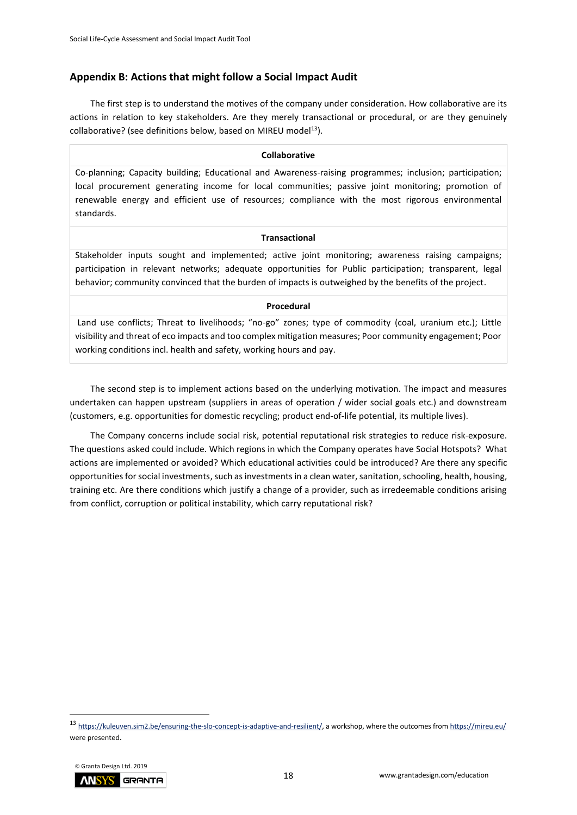## <span id="page-17-0"></span>**Appendix B: Actions that might follow a Social Impact Audit**

The first step is to understand the motives of the company under consideration. How collaborative are its actions in relation to key stakeholders. Are they merely transactional or procedural, or are they genuinely collaborative? (see definitions below, based on MIREU model $^{13}$ ).

#### **Collaborative**

Co-planning; Capacity building; Educational and Awareness-raising programmes; inclusion; participation; local procurement generating income for local communities; passive joint monitoring; promotion of renewable energy and efficient use of resources; compliance with the most rigorous environmental standards.

#### **Transactional**

Stakeholder inputs sought and implemented; active joint monitoring; awareness raising campaigns; participation in relevant networks; adequate opportunities for Public participation; transparent, legal behavior; community convinced that the burden of impacts is outweighed by the benefits of the project.

#### **Procedural**

Land use conflicts; Threat to livelihoods; "no-go" zones; type of commodity (coal, uranium etc.); Little visibility and threat of eco impacts and too complex mitigation measures; Poor community engagement; Poor working conditions incl. health and safety, working hours and pay.

The second step is to implement actions based on the underlying motivation. The impact and measures undertaken can happen upstream (suppliers in areas of operation / wider social goals etc.) and downstream (customers, e.g. opportunities for domestic recycling; product end-of-life potential, its multiple lives).

The Company concerns include social risk, potential reputational risk strategies to reduce risk-exposure. The questions asked could include. Which regions in which the Company operates have Social Hotspots? What actions are implemented or avoided? Which educational activities could be introduced? Are there any specific opportunities for social investments, such as investments in a clean water, sanitation, schooling, health, housing, training etc. Are there conditions which justify a change of a provider, such as irredeemable conditions arising from conflict, corruption or political instability, which carry reputational risk?

<sup>13</sup> [https://kuleuven.sim2.be/ensuring-the-slo-concept-is-adaptive-and-resilient/,](https://kuleuven.sim2.be/ensuring-the-slo-concept-is-adaptive-and-resilient/) a workshop, where the outcomes fro[m https://mireu.eu/](https://mireu.eu/) were presented.

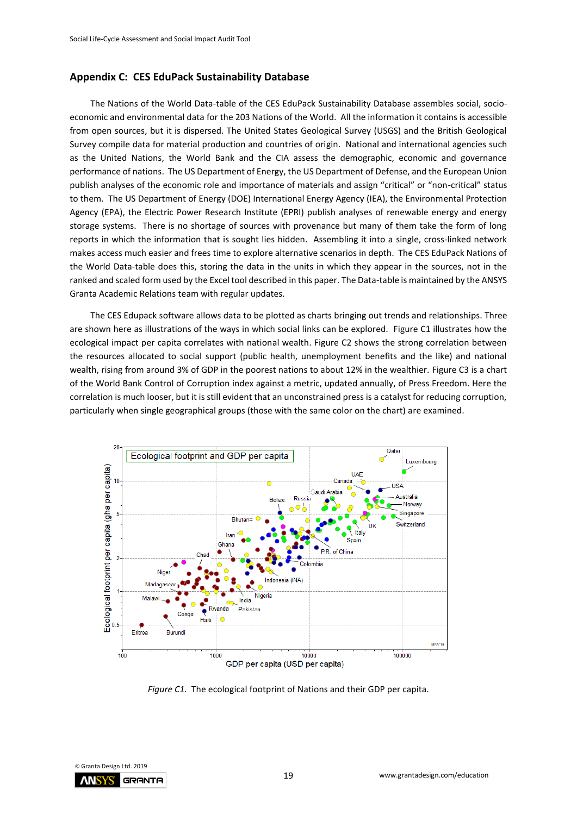#### <span id="page-18-0"></span>**Appendix C: CES EduPack Sustainability Database**

The Nations of the World Data-table of the CES EduPack Sustainability Database assembles social, socioeconomic and environmental data for the 203 Nations of the World. All the information it contains is accessible from open sources, but it is dispersed. The United States Geological Survey (USGS) and the British Geological Survey compile data for material production and countries of origin. National and international agencies such as the United Nations, the World Bank and the CIA assess the demographic, economic and governance performance of nations. The US Department of Energy, the US Department of Defense, and the European Union publish analyses of the economic role and importance of materials and assign "critical" or "non-critical" status to them. The US Department of Energy (DOE) International Energy Agency (IEA), the Environmental Protection Agency (EPA), the Electric Power Research Institute (EPRI) publish analyses of renewable energy and energy storage systems. There is no shortage of sources with provenance but many of them take the form of long reports in which the information that is sought lies hidden. Assembling it into a single, cross-linked network makes access much easier and frees time to explore alternative scenarios in depth. The CES EduPack Nations of the World Data-table does this, storing the data in the units in which they appear in the sources, not in the ranked and scaled form used by the Excel tool described in this paper. The Data-table is maintained by the ANSYS Granta Academic Relations team with regular updates.

The CES Edupack software allows data to be plotted as charts bringing out trends and relationships. Three are shown here as illustrations of the ways in which social links can be explored. Figure C1 illustrates how the ecological impact per capita correlates with national wealth. Figure C2 shows the strong correlation between the resources allocated to social support (public health, unemployment benefits and the like) and national wealth, rising from around 3% of GDP in the poorest nations to about 12% in the wealthier. Figure C3 is a chart of the World Bank Control of Corruption index against a metric, updated annually, of Press Freedom. Here the correlation is much looser, but it is still evident that an unconstrained press is a catalyst for reducing corruption, particularly when single geographical groups (those with the same color on the chart) are examined.



*Figure C1.* The ecological footprint of Nations and their GDP per capita.

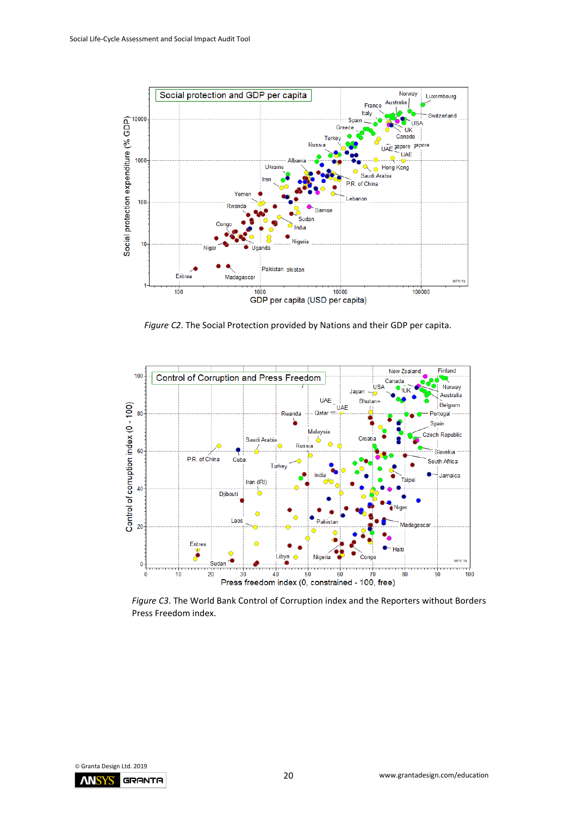

*Figure C2*. The Social Protection provided by Nations and their GDP per capita.



*Figure C3*. The World Bank Control of Corruption index and the Reporters without Borders Press Freedom index.